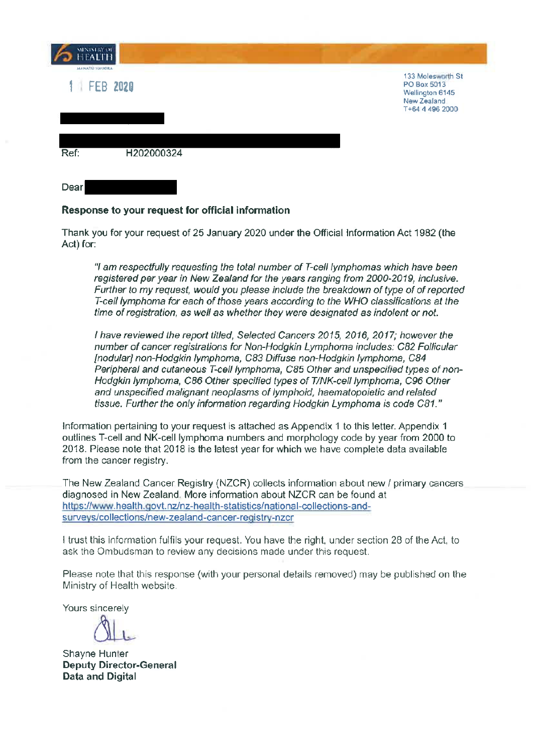| <b>MINISTRY OF</b><br><b>HEALTH</b> |                                                                                       |
|-------------------------------------|---------------------------------------------------------------------------------------|
| MANATÚ HAUORA<br>FEB 2020           | 133 Molesworth St<br>PO Box 5013<br>Wellington 6145<br>New Zealand<br>T+64 4 496 2000 |
| H202000324<br>Ref:                  |                                                                                       |
| Dear                                |                                                                                       |

## Response to your request for official information

Thank you for your request of 25 January 2020 under the Official Information Act 1982 (the Act) for:

"I am respectfully requesting the total number of T-cell lymphomas which have been registered per year in New Zealand for the years ranging from 2000-2019, inclusive. Further to my request, would you please include the breakdown of type of of reported T-cell lymphoma for each of those years according to the WHO classifications at the time of registration, as well as whether they were designated as indolent or not.

I have reviewed the report titled, Selected Cancers 2015, 2016, 2017; however the number of cancer registrations for Non-Hodgkin Lymphoma includes: C82 Follicular [nodular] non-Hodgkin lymphoma, C83 Diffuse non-Hodgkin lymphoma, C84 Peripheral and cutaneous T-cell lymphoma, C85 Other and unspecified types of non-Hodgkin lymphoma, C86 Other specified types of T/NK-cell lymphoma, C96 Other and unspecified malignant neoplasms of lymphoid, haematopoietic and related tissue. Further the only information regarding Hodgkin Lymphoma is code C81."

Information pertaining to your request is attached as Appendix 1 to this letter. Appendix 1 outlines T-cell and NK-cell lymphoma numbers and morphology code by year from 2000 to 2018. Please note that 2018 is the latest year for which we have complete data available from the cancer registry.

The New Zealand Cancer Registry (NZCR) collects information about new / primary cancers diagnosed in New Zealand. More information about NZCR can be found at https://www.health.govt.nz/nz-health-statistics/national-collections-andsurveys/collections/new-zealand-cancer-registry-nzcr

I trust this information fulfils your request. You have the right, under section 28 of the Act, to ask the Ombudsman to review any decisions made under this request.

Please note that this response (with your personal details removed) may be published on the Ministry of Health website.

Yours sincerely

Shayne Hunter **Deputy Director-General Data and Digital**